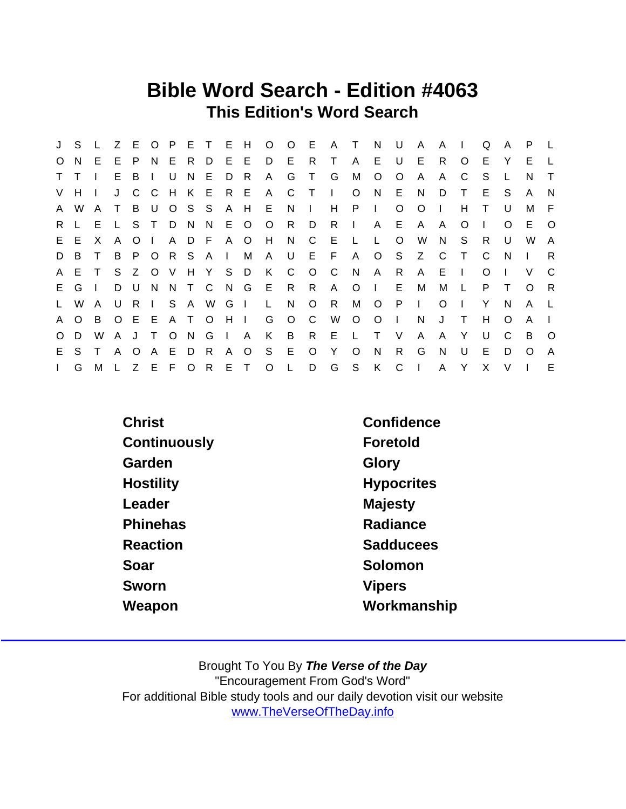### Bible Word Search - Edition #4063 This Edition's Word Search

|              | J S     |              |              |         |              |       |       |              |                |               |                   |              |         | L Z E O P E T E H O O E A T N |              |                | U            | A              | A            | $\blacksquare$ | Q  | $\mathsf{A}$ | P.           |              |
|--------------|---------|--------------|--------------|---------|--------------|-------|-------|--------------|----------------|---------------|-------------------|--------------|---------|-------------------------------|--------------|----------------|--------------|----------------|--------------|----------------|----|--------------|--------------|--------------|
| $\circ$      | N.      | E.           | E.           | P       |              | $N$ E |       | R D          | $E$ $E$        |               | D                 | E            | R.      | $\mathsf{T}$                  | A            | E.             | U            | E              | R            | $\circ$        | E  | Y            | E            |              |
| $\mathsf{T}$ |         |              | E.           | B       | $\mathbf{I}$ | U     | N.    | E            | D              | $\mathsf{R}$  | $\mathsf{A}$      | G            | $\top$  | G                             | M            | $\circ$        | $\circ$      | A              | A            | C              | S. |              | N.           | $\top$       |
|              | $V$ H I |              | J            | C.      | - C          |       |       |              |                | H K E R E A   |                   | $\mathbf{C}$ | $\top$  | $\Box$                        | $\circ$      | N.             | E            | N              | D            | $\top$         | E. | S.           | A            | N            |
| A.           | W       | A            | $\mathsf{T}$ | B       | . U          |       | OSS   |              |                | A H           | -E                | N.           | $\Box$  | H                             | $\mathsf{P}$ | $\sim 1$ .     | $\circ$      | $\circ$        | $\mathbf{L}$ | H              | T. | U            | M            | -F.          |
| $R_{\perp}$  |         | E.           |              | S T     |              | D N   |       | - N          | E O            |               | $\circ$           | R D          |         | R                             | $\mathbf{I}$ | A              |              | E A            | A            | O              |    | $\Omega$     | E.           | $\circ$      |
|              | E E     | X            | A            | $\circ$ | $\Box$       |       |       | A D F A O    |                |               | H                 | N            | C       | E                             | $\mathsf{L}$ | L.             | $\circ$      | W              | N            | S.             | R. | U            | W            | A            |
| D            | B.      | $\top$       | B            | P       |              |       |       | ORSAI        |                | M             | A                 |              |         | UEFA                          |              |                | O S Z        |                | C.           | $\top$         | C. | N            |              | R.           |
|              | A E     | $\top$       | S.           | Z       |              |       |       |              |                | O V H Y S D K |                   | $\mathbf{C}$ | $O$ C   |                               | N            | $\mathsf{A}$   | R            | $\mathsf{A}$   | $E \cup$     |                | O  |              | V            | C            |
|              | E G I   |              |              | D U     | N            |       |       |              |                |               | N T C N G E       | R R          |         | $\mathsf{A}$                  |              | $O \mid$       | E            | M              | М            |                | P. |              | $\Omega$     | R            |
| $\mathsf{L}$ | W       | A            | U            | - R     | $\mathbf{L}$ |       |       | S A W G I    |                |               | $\mathsf{L}$      | N            | $\circ$ | $\mathsf{R}$                  | M            | $\overline{O}$ | $\mathsf{P}$ | $\mathbf{I}$   | $\circ$      |                | Y  | N            | A            |              |
| A.           | $\circ$ | B.           |              | OEE     |              |       | A T O |              | $H$ $\perp$    |               | G                 | $\circ$      | C       | W                             | $\circ$      | $\circ$        | $\mathbf{I}$ | N              | J            | $\top$         | H  | $\Omega$     | A            |              |
| $\circ$      | D       | W            | A J          |         | $\top$       |       | $O$ N | $\mathsf{G}$ | $\mathsf{I}$ A |               | K                 | $\mathsf{B}$ |         | R E L                         |              | $\top$         | $\vee$       | A              | A            | Y              | U  | C            | B            | $\circ$      |
| E.           | S.      | $\mathsf{T}$ | A            | $\circ$ | $\mathsf{A}$ | E     | D     | R            |                | A O           | S                 | - E          | $\circ$ | Y                             | $\circ$      | <sup>N</sup>   | R.           | G              | N            | $\cup$         | E. | D            | <sup>O</sup> | $\mathsf{A}$ |
| $\mathbf{L}$ | G       | M            |              |         |              |       |       |              |                |               | Z E F O R E T O L |              | D       | G                             | S            | K C            |              | $\blacksquare$ | $\mathsf{A}$ | Y              | X  | V            |              | E            |

Christ Confidence Continuously **Foretold** Garden Glory Hostility **Hypocritics** Leader **Majesty** Phinehas **Radiance** Reaction **Sadducees** Soar Solomon Solomon Sworn Vipers Weapon Workmanship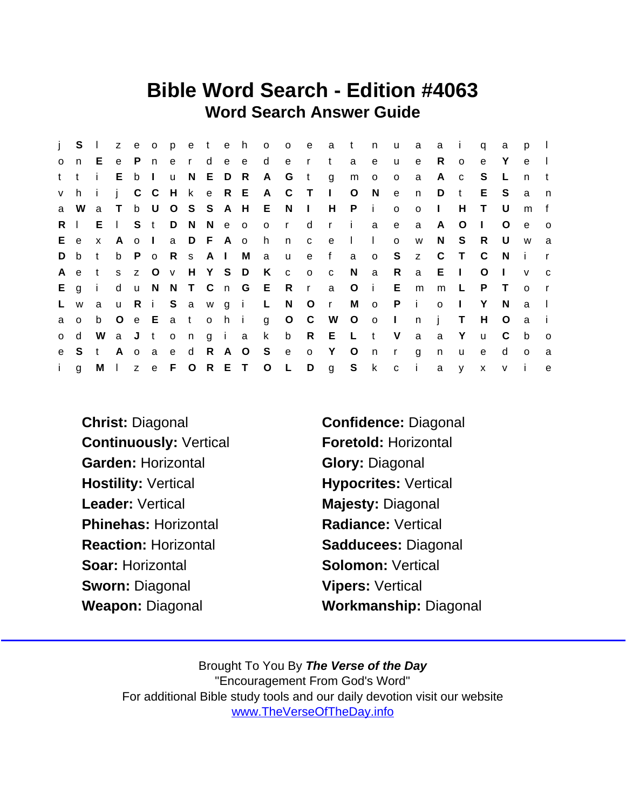## Bible Word Search - Edition #4063 Word Search Answer Guide

| $\mathbf{I}$ | S            | $\Box$       |              | z e o        |              |              | peteh         |              |       |           |                | o o e        |                | a            | $-t$    | n               | u                       | a            | a            | $\mathbf{i}$ | q            | a            | p            |              |
|--------------|--------------|--------------|--------------|--------------|--------------|--------------|---------------|--------------|-------|-----------|----------------|--------------|----------------|--------------|---------|-----------------|-------------------------|--------------|--------------|--------------|--------------|--------------|--------------|--------------|
| $\mathsf{o}$ | n            | E.           | e            | P            | n,           | e            | $\mathsf{r}$  | $\mathsf{d}$ |       | e e       | d              | e            | $\mathsf{r}$   | t            | a       | e               | u                       | e            | R.           | $\circ$      | e            | Y            | e            | $\perp$      |
| t.           | $^{\dagger}$ | j.           | E.           | $\mathsf{b}$ | $\mathbf{I}$ | <b>u</b>     |               | N E          |       | D R       | $\mathsf{A}$   | G            | $\mathbf{t}$   | g            | m       | $\mathsf{o}$    | $\circ$                 | a            | A            | $\mathbf{C}$ | S            | L            | n            | t            |
| V            | h.           | -i-          | j.           |              | $C$ $C$      |              |               |              |       | H k e R E | $\mathsf{A}$   | $\mathbf{C}$ | $\top$         | $\mathbf{L}$ | $\circ$ | N               | $\mathbf{e}$            | n.           | D            | $\mathsf{t}$ | Е            | <sub>S</sub> | a            | n            |
| a            | W            | a            | $\top$       |              | b U          |              | OSS           |              |       | A H E     |                | N            | $\mathbf{1}$   | H.           | P       | $\mathbf{i}$    | $\circ$                 | $\mathsf{o}$ | $\mathbf{I}$ | H            | T.           | U            | m            | f            |
| R.           | $\mathbf{I}$ | $E \cup$     |              |              | S t          | D            | N N e o       |              |       |           | $\mathsf{o}$   | $\mathsf{r}$ | d              | $\mathsf{r}$ | - i     | a               | $\mathbf{e}$            | a            | A            | O            | $\mathbf{I}$ | O            | e            | $\circ$      |
| E.           | $\mathbf{e}$ | $\mathsf{X}$ | A            | $\mathbf{o}$ | $\Box$       | a            |               | D F A o      |       |           | h              | n            | $\mathbf{C}$   | $\mathbf{e}$ | $\perp$ | $\mathbf{L}$    | $\circ$                 | W            | N            | S.           | R.           | U            | W            | a            |
| D            | b            | t            | b            | P.           | $\circ$      |              | R s A I       |              |       | M         | a u            |              | e              | f            | a       | $\circ$         | S                       | z            | C            | $\top$       | C            | N.           | - i          | $\mathsf{r}$ |
| A            | e            | t            | S            | Z            | $\circ$      |              | v H Y S       |              |       | D         | K              | $\mathbf{C}$ | $\circ$        | C            | N       | a               | R.                      | a            | E.           | $\Box$       | O            |              | $\mathsf{V}$ | C            |
| E.           | q            | $\mathbf{i}$ | d            | $\mathsf{u}$ | N.           |              |               |              |       |           | N T C n G E R  |              | $\mathsf{r}$   | a            | $\circ$ | $\sim$ i $\sim$ | E.                      | m            | m            | $\mathsf{L}$ | P            | $\top$       | $\Omega$     | $\mathsf{r}$ |
| L.           | W            | a            | $\mathsf{u}$ | R.           | $\sim 1$     |              | Sawgi         |              |       |           | $\mathsf{L}$   | N.           | $\overline{O}$ | $\mathbf{r}$ | М       | $\circ$         | P                       | - i -        | $\mathbf{o}$ | -1           | Y            | N            | a            | $\perp$      |
| a            | $\Omega$     | b            | $\circ$      | e E          |              |              | a to          |              | h i   |           | $\mathbf{g}$   | $O$ $C$      |                | <b>W</b>     | $O$ o   |                 | $\sim 1$ .              | $\mathsf{n}$ | İ.           | $\top$       | H            | $\circ$      | a            | -i-          |
| $\mathsf{o}$ | d            | W            | a J          |              | t            | $\mathsf{o}$ | n             |              | g i a |           | $\mathsf{k}$   | $\mathsf{b}$ |                | R E L        |         | t               | V                       | a            | a            | Y            | $\mathsf{u}$ | C            | b            | $\circ$      |
| e.           | S            | t            | $\mathsf{A}$ | $\circ$      | a            | e            | d             | R            | A O   |           | S              | e            | $\circ$        | Y            | $\circ$ | n               | $\mathsf{r}$            | g            | n.           | u            | e            | d            | $\circ$      | a            |
| j.           | g            | M I          |              |              |              |              | z e F O R E T |              |       |           | $\overline{O}$ | $\mathbf{L}$ | D              | $\mathbf{g}$ | S       | $\mathsf{k}$    | $\overline{\mathbf{C}}$ | - il         | a            | y            | $\mathsf{x}$ | $\vee$       | -i           | e            |

Continuously: Vertical Foretold: Horizontal Garden: Horizontal Glory: Diagonal Hostility: Vertical Hypocrites: Vertical Leader: Vertical **Majesty: Diagonal** Phinehas: Horizontal Radiance: Vertical Reaction: Horizontal Sadducees: Diagonal Soar: Horizontal Solomon: Vertical Sworn: Diagonal Vipers: Vertical Weapon: Diagonal Workmanship: Diagonal

Christ: Diagonal Confidence: Diagonal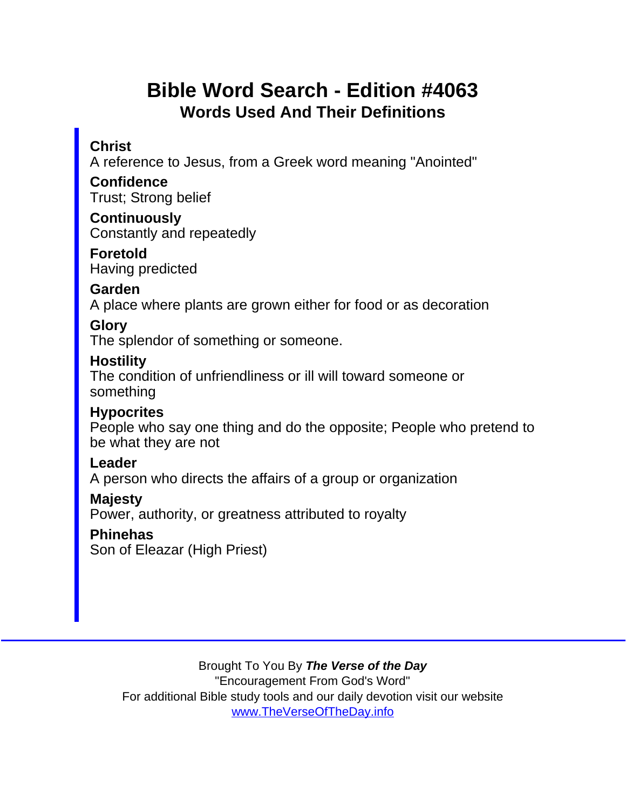# Bible Word Search - Edition #4063 Words Used And Their Definitions

### **Christ**

A reference to Jesus, from a Greek word meaning "Anointed"

**Confidence** Trust; Strong belief

**Continuously** Constantly and repeatedly

Foretold Having predicted

Garden

A place where plants are grown either for food or as decoration

**Glory** 

The splendor of something or someone.

**Hostility** 

The condition of unfriendliness or ill will toward someone or something

**Hypocrites** 

People who say one thing and do the opposite; People who pretend to be what they are not

Leader

A person who directs the affairs of a group or organization

Majesty

Power, authority, or greatness attributed to royalty

**Phinehas** 

Son of Eleazar (High Priest)